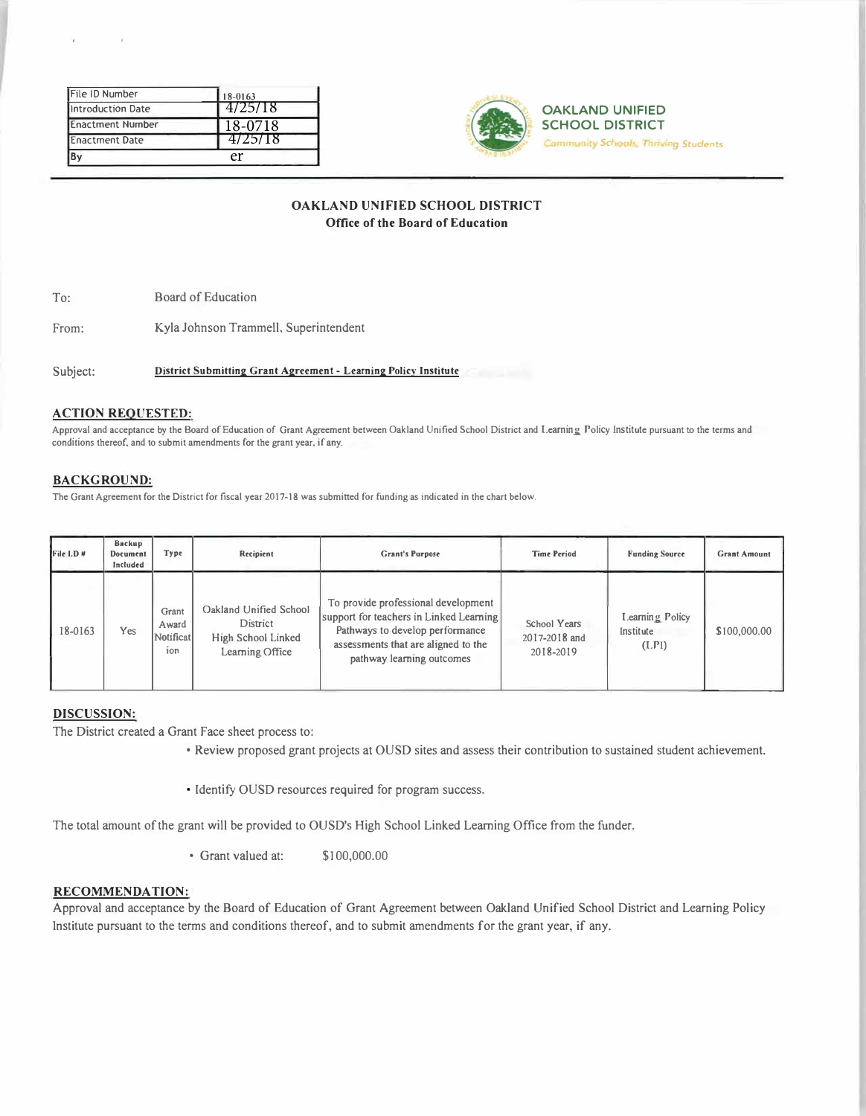|                                                  | er                 |
|--------------------------------------------------|--------------------|
| <b>Enactment Number</b><br><b>Enactment Date</b> | 18-0718<br>4725718 |
| Introduction Date                                | 4/25/18            |
| File ID Number                                   | 18-0163            |



**OAKLAND UNIFIED SCHOOL DISTRICT Community Schools, Thriving Students** 

# **OAKLAND UNIFIED SCHOOL DISTRICT Office of the Board of Education**

To: Board of Education

From: Kyla Johnson Trammell, Superintendent

Subject: **District Submitting Grant Agreement** - **Learning Policy Institute** 

## **ACTION REQUESTED:**

Approval and acceptance by the Board of Education of Grant Agreement between Oakland Unified School District and Learning Policy Institute pursuant to the terms and conditions thereof, and to submit amendments for the grant year, if any.

## **BACKGROUND:**

The Grant Agreement for the District for fiscal year 2017-18 was submitted for funding as indicated in the chart below.

| File I.D # | Backup<br>Document<br>Included | Type                               | Recipient                                                                   | <b>Grant's Purpose</b>                                                                                                                                                                | <b>Time Period</b>                         | <b>Funding Source</b>                 | <b>Grant Amount</b> |
|------------|--------------------------------|------------------------------------|-----------------------------------------------------------------------------|---------------------------------------------------------------------------------------------------------------------------------------------------------------------------------------|--------------------------------------------|---------------------------------------|---------------------|
| 18-0163    | Yes                            | Grant<br>Award<br>Notificat<br>ion | Oakland Unified School<br>District<br>High School Linked<br>Learning Office | To provide professional development<br>support for teachers in Linked Learning<br>Pathways to develop performance<br>assessments that are aligned to the<br>pathway learning outcomes | School Years<br>2017-2018 and<br>2018-2019 | Learning Policy<br>Institute<br>(LPI) | \$100,000.00        |

## **DISCUSSION:**

The District created a Grant Face sheet process to:

- Review proposed grant projects at OUSD sites and assess their contribution to sustained student achievement.
- Identify OUSD resources required for program success.

The total amount of the grant will be provided to OUSD's High School Linked Leaming Office from the funder.

• Grant valued at: \$ I 00,000.00

# **RECOMMENDATION:**

Approval and acceptance by the Board of Education of Grant Agreement between Oakland Unified School District and Learning Policy Institute pursuant to the terms and conditions thereof, and to submit amendments for the grant year, if any.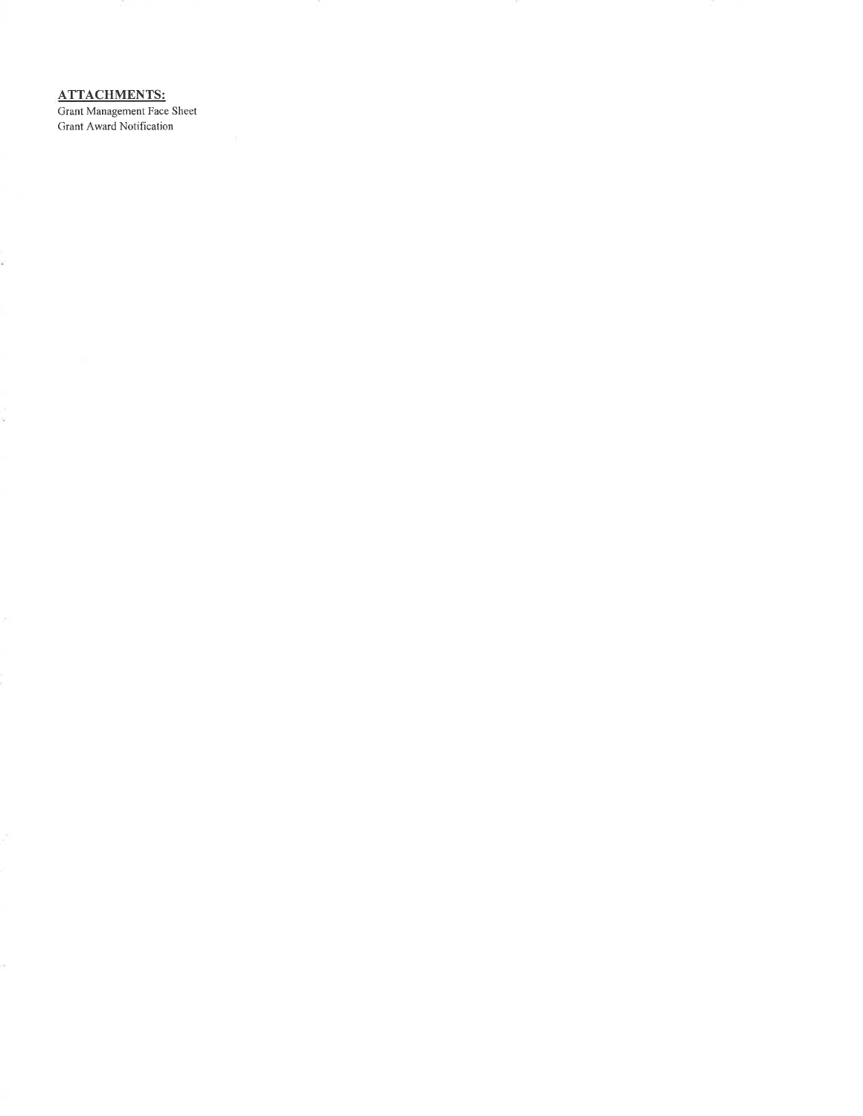**ATTACHMENTS:** 

É.

S.

Grant Management Face Sheet Grant Award Notification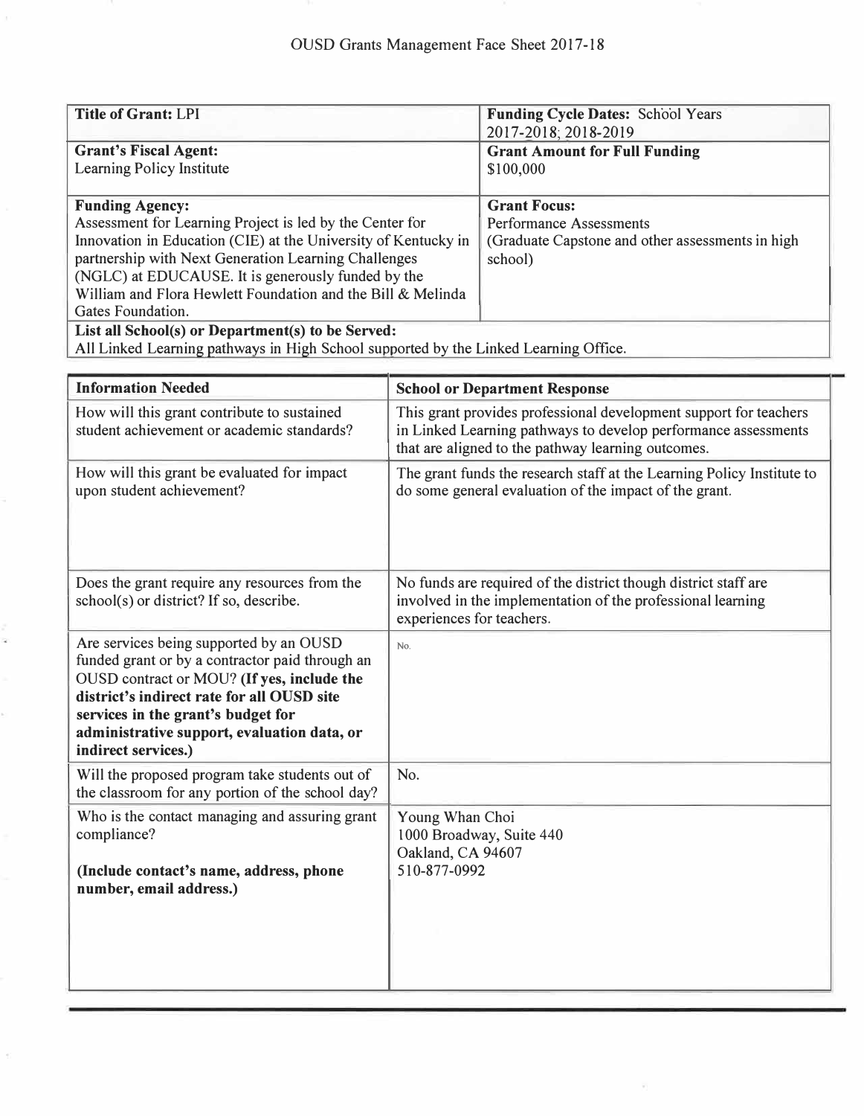| <b>Title of Grant: LPI</b>                                     | <b>Funding Cycle Dates: School Years</b><br>2017-2018; 2018-2019 |
|----------------------------------------------------------------|------------------------------------------------------------------|
| <b>Grant's Fiscal Agent:</b>                                   | <b>Grant Amount for Full Funding</b>                             |
| Learning Policy Institute                                      | \$100,000                                                        |
|                                                                |                                                                  |
| <b>Funding Agency:</b>                                         | <b>Grant Focus:</b>                                              |
| Assessment for Learning Project is led by the Center for       | <b>Performance Assessments</b>                                   |
| Innovation in Education (CIE) at the University of Kentucky in | (Graduate Capstone and other assessments in high                 |
| partnership with Next Generation Learning Challenges           | school)                                                          |
| (NGLC) at EDUCAUSE. It is generously funded by the             |                                                                  |
| William and Flora Hewlett Foundation and the Bill & Melinda    |                                                                  |
| Gates Foundation.                                              |                                                                  |
| List all School(s) or Department(s) to be Served:              |                                                                  |

All Linked Learning pathways in High School supported by the Linked Learning Office.

| <b>Information Needed</b>                                                                                                                                                                                                                                                                          | <b>School or Department Response</b>                                                                                                                                                      |  |
|----------------------------------------------------------------------------------------------------------------------------------------------------------------------------------------------------------------------------------------------------------------------------------------------------|-------------------------------------------------------------------------------------------------------------------------------------------------------------------------------------------|--|
| How will this grant contribute to sustained<br>student achievement or academic standards?                                                                                                                                                                                                          | This grant provides professional development support for teachers<br>in Linked Learning pathways to develop performance assessments<br>that are aligned to the pathway learning outcomes. |  |
| How will this grant be evaluated for impact<br>upon student achievement?                                                                                                                                                                                                                           | The grant funds the research staff at the Learning Policy Institute to<br>do some general evaluation of the impact of the grant.                                                          |  |
| Does the grant require any resources from the<br>school(s) or district? If so, describe.                                                                                                                                                                                                           | No funds are required of the district though district staff are<br>involved in the implementation of the professional learning<br>experiences for teachers.                               |  |
| Are services being supported by an OUSD<br>funded grant or by a contractor paid through an<br>OUSD contract or MOU? (If yes, include the<br>district's indirect rate for all OUSD site<br>services in the grant's budget for<br>administrative support, evaluation data, or<br>indirect services.) | No.                                                                                                                                                                                       |  |
| Will the proposed program take students out of<br>the classroom for any portion of the school day?                                                                                                                                                                                                 | No.                                                                                                                                                                                       |  |
| Who is the contact managing and assuring grant<br>compliance?<br>(Include contact's name, address, phone<br>number, email address.)                                                                                                                                                                | Young Whan Choi<br>1000 Broadway, Suite 440<br>Oakland, CA 94607<br>510-877-0992                                                                                                          |  |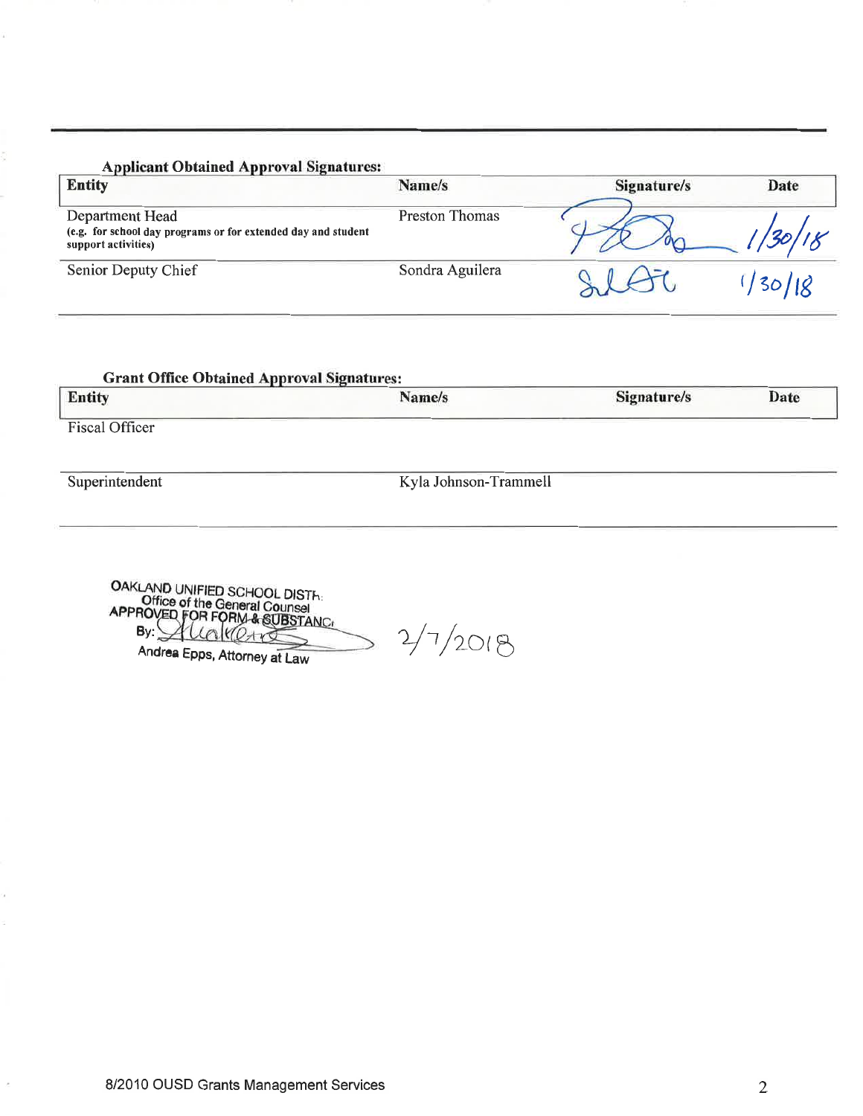# **Applicant Obtained Approval Signatures:**

| <b>Entity</b>                                                                                           | Name/s                | Signature/s | Date |
|---------------------------------------------------------------------------------------------------------|-----------------------|-------------|------|
| Department Head<br>(e.g. for school day programs or for extended day and student<br>support activities) | <b>Preston Thomas</b> |             |      |
| Senior Deputy Chief                                                                                     | Sondra Aguilera       |             |      |

# **Grant Office Obtained Approval Signatures:**

| <b>Entity</b>         | Name/s                | Signature/s | Date |
|-----------------------|-----------------------|-------------|------|
| <b>Fiscal Officer</b> |                       |             |      |
| Superintendent        | Kyla Johnson-Trammell |             |      |

OAKLAND UNIFIED SCHOOL DISTHERED FOR THE General Counsel<br>Office of the General Counsel<br>APPROVED FOR FORM & SUBSTANC By: Allakere Andrea Epps, Attorney at Law

 $2/7/2018$ 

8/2010 OUSD Grants Management Services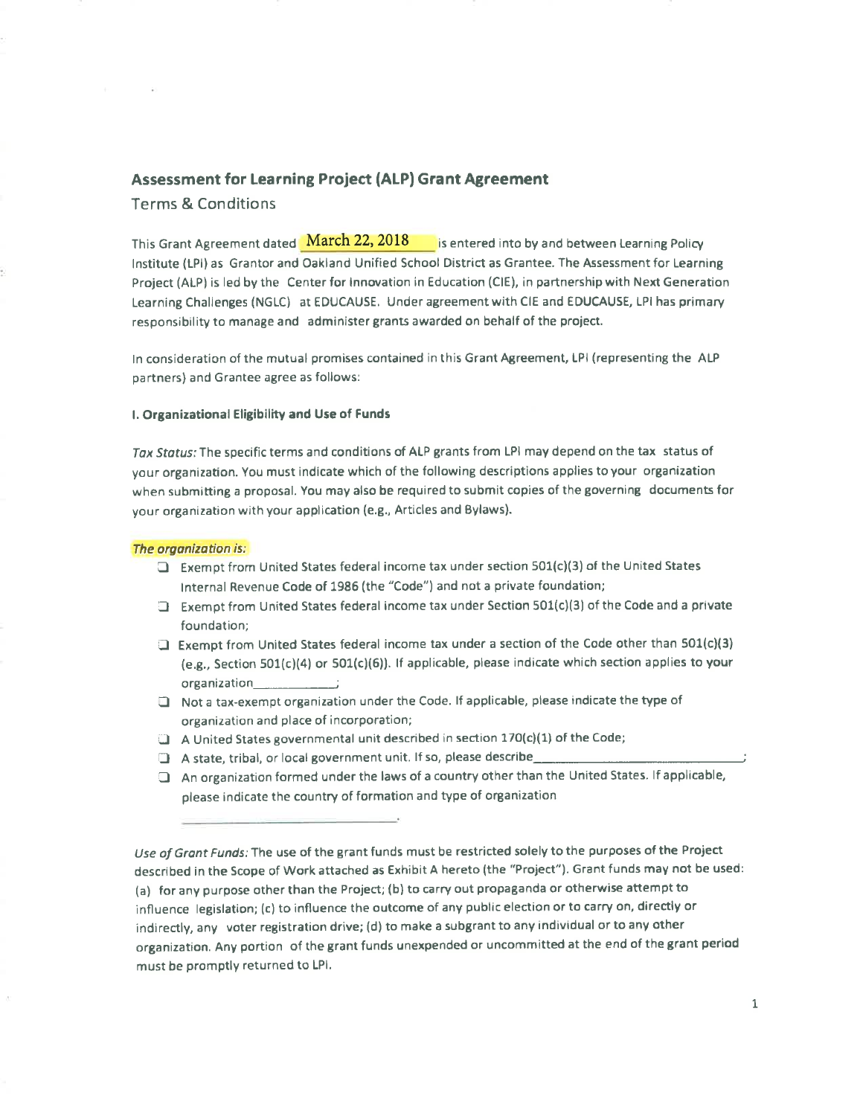# **Assessment for Learning Project (ALP) Grant Agreement**

**Terms & Conditions** 

This Grant Agreement dated **March 22, 2018** is entered into by and between Learning Policy Institute (LPI) as Grantor and Oakland Unified School District as Grantee. The Assessment for Learning Project (ALP) is led by the Center for Innovation in Education (CIE), in partnership with Next Generation Learning Challenges (NGLC) at EDUCAUSE. Under agreement with CIE and EDUCAUSE, LPI has primary responsibility to manage and administer grants awarded on behalf of the project.

In consideration of the mutual promises contained in this Grant Agreement, LPI (representing the ALP partners) and Grantee agree as follows:

## I. Organizational Eligibility and Use of Funds

Tax Status: The specific terms and conditions of ALP grants from LPI may depend on the tax status of your organization. You must indicate which of the following descriptions applies to your organization when submitting a proposal. You may also be required to submit copies of the governing documents for your organization with your application (e.g., Articles and Bylaws).

### The organization is:

- $\Box$  Exempt from United States federal income tax under section 501(c)(3) of the United States Internal Revenue Code of 1986 (the "Code") and not a private foundation;
- Exempt from United States federal income tax under Section 501(c)(3) of the Code and a private foundation;
- Exempt from United States federal income tax under a section of the Code other than  $501(c)(3)$ (e.g., Section 501(c)(4) or 501(c)(6)). If applicable, please indicate which section applies to your
- Not a tax-exempt organization under the Code. If applicable, please indicate the type of organization and place of incorporation;
- $\Box$  A United States governmental unit described in section 170(c)(1) of the Code;
- A state, tribal, or local government unit. If so, please describe\_
- An organization formed under the laws of a country other than the United States. If applicable, please indicate the country of formation and type of organization

Use of Grant Funds: The use of the grant funds must be restricted solely to the purposes of the Project described in the Scope of Work attached as Exhibit A hereto (the "Project"). Grant funds may not be used: (a) for any purpose other than the Project; (b) to carry out propaganda or otherwise attempt to influence legislation; (c) to influence the outcome of any public election or to carry on, directly or indirectly, any voter registration drive; (d) to make a subgrant to any individual or to any other organization. Any portion of the grant funds unexpended or uncommitted at the end of the grant period must be promptly returned to LPI.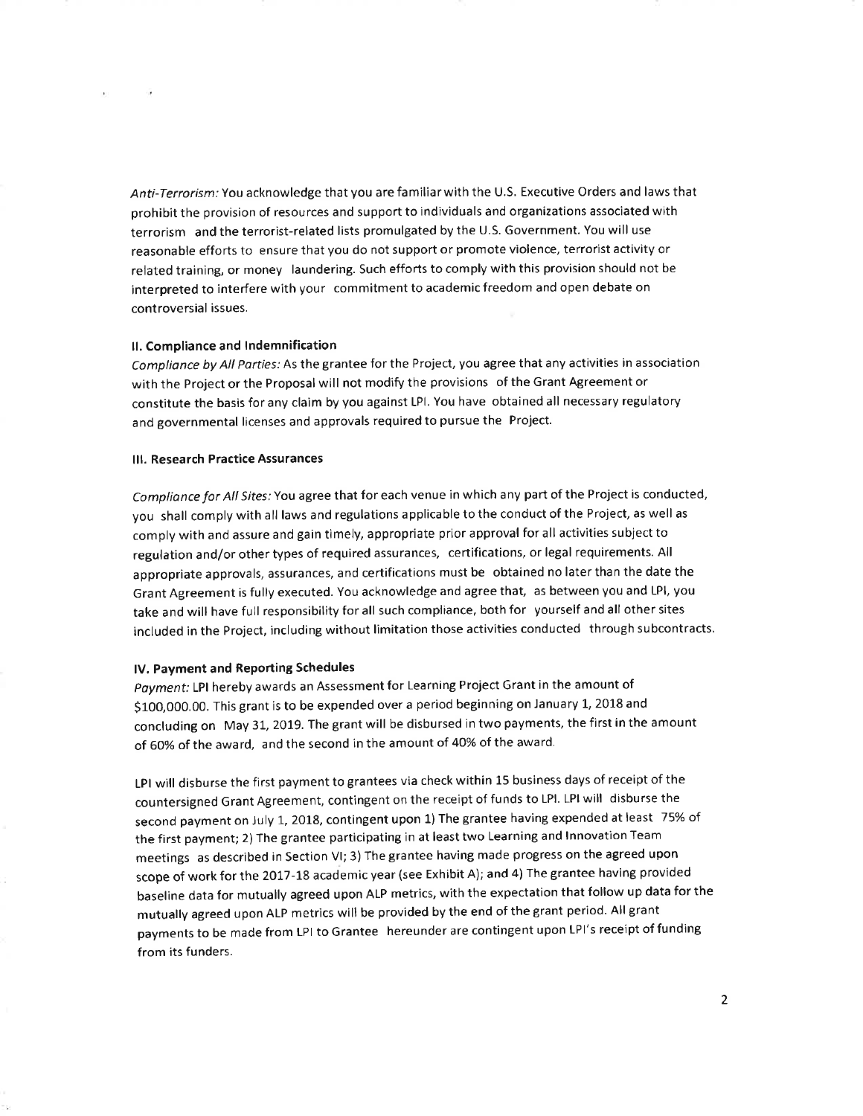Anti-Terrorism: You acknowledge that you are familiar with the U.S. Executive Orders and laws that prohibit the provision of resources and support to individuals and organizations associated with terrorism and the terrorist-related lists promulgated by the U.S. Government. You will use reasonable efforts to ensure that you do not support or promote violence, terrorist activity or related training, or money laundering. Such efforts to comply with this provision should not be interpreted to interfere with your commitment to academic freedom and open debate on controversial issues.

## II. Compliance and Indemnification

Compliance by All Parties: As the grantee for the Project, you agree that any activities in association with the Project or the Proposal will not modify the provisions of the Grant Agreement or constitute the basis for any claim by you against LPI. You have obtained all necessary regulatory and governmental licenses and approvals required to pursue the Project.

### III. Research Practice Assurances

Compliance for All Sites: You agree that for each venue in which any part of the Project is conducted, you shall comply with all laws and regulations applicable to the conduct of the Project, as well as comply with and assure and gain timely, appropriate prior approval for all activities subject to regulation and/or other types of required assurances, certifications, or legal requirements. All appropriate approvals, assurances, and certifications must be obtained no later than the date the Grant Agreement is fully executed. You acknowledge and agree that, as between you and LPI, you take and will have full responsibility for all such compliance, both for yourself and all other sites included in the Project, including without limitation those activities conducted through subcontracts.

### IV. Payment and Reporting Schedules

Payment: LPI hereby awards an Assessment for Learning Project Grant in the amount of \$100,000.00. This grant is to be expended over a period beginning on January 1, 2018 and concluding on May 31, 2019. The grant will be disbursed in two payments, the first in the amount of 60% of the award, and the second in the amount of 40% of the award.

LPI will disburse the first payment to grantees via check within 15 business days of receipt of the countersigned Grant Agreement, contingent on the receipt of funds to LPI. LPI will disburse the second payment on July 1, 2018, contingent upon 1) The grantee having expended at least 75% of the first payment; 2) The grantee participating in at least two Learning and Innovation Team meetings as described in Section VI; 3) The grantee having made progress on the agreed upon scope of work for the 2017-18 academic year (see Exhibit A); and 4) The grantee having provided baseline data for mutually agreed upon ALP metrics, with the expectation that follow up data for the mutually agreed upon ALP metrics will be provided by the end of the grant period. All grant payments to be made from LPI to Grantee hereunder are contingent upon LPI's receipt of funding from its funders.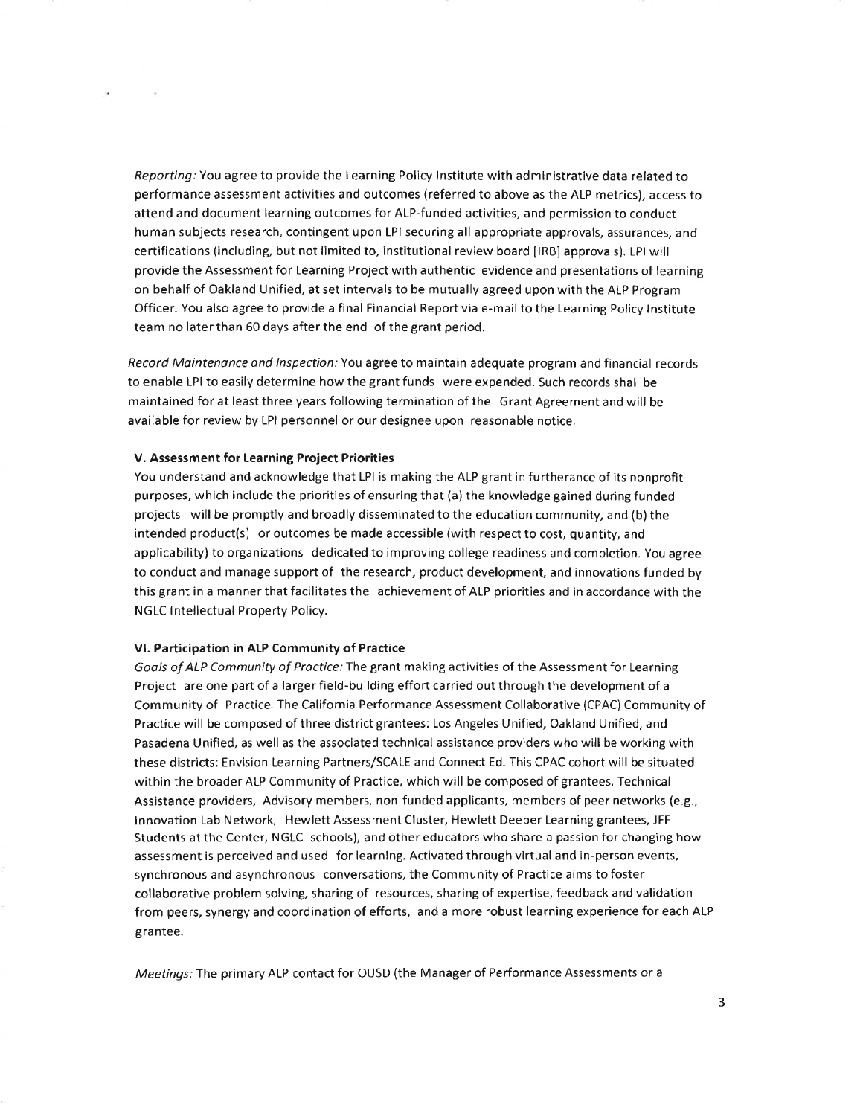Reporting: You agree to provide the Learning Policy Institute with administrative data related to performance assessment activities and outcomes (referred to above as the ALP metrics), access to attend and document learning outcomes for ALP-funded activities, and permission to conduct human subjects research, contingent upon LPI securing all appropriate approvals, assurances, and certifications (including, but not limited to, institutional review board [IRB] approvals). LPI will provide the Assessment for Learning Project with authentic evidence and presentations of learning on behalf of Oakland Unified, at set intervals to be mutually agreed upon with the ALP Program Officer. You also agree to provide a final Financial Report via e-mail to the Learning Policy Institute team no later than 60 days after the end of the grant period.

Record Maintenance and Inspection: You agree to maintain adequate program and financial records to enable LPI to easily determine how the grant funds were expended. Such records shall be maintained for at least three years following termination of the Grant Agreement and will be available for review by LPI personnel or our designee upon reasonable notice.

## V. Assessment for Learning Project Priorities

You understand and acknowledge that LPI is making the ALP grant in furtherance of its nonprofit purposes, which include the priorities of ensuring that (a) the knowledge gained during funded projects will be promptly and broadly disseminated to the education community, and (b) the intended product(s) or outcomes be made accessible (with respect to cost, quantity, and applicability) to organizations dedicated to improving college readiness and completion. You agree to conduct and manage support of the research, product development, and innovations funded by this grant in a manner that facilitates the achievement of ALP priorities and in accordance with the NGLC Intellectual Property Policy.

#### VI. Participation in ALP Community of Practice

Goals of ALP Community of Practice: The grant making activities of the Assessment for Learning Project are one part of a larger field-building effort carried out through the development of a Community of Practice. The California Performance Assessment Collaborative (CPAC) Community of Practice will be composed of three district grantees: Los Angeles Unified, Oakland Unified, and Pasadena Unified, as well as the associated technical assistance providers who will be working with these districts: Envision Learning Partners/SCALE and Connect Ed. This CPAC cohort will be situated within the broader ALP Community of Practice, which will be composed of grantees, Technical Assistance providers, Advisory members, non-funded applicants, members of peer networks (e.g., Innovation Lab Network, Hewlett Assessment Cluster, Hewlett Deeper Learning grantees, JFF Students at the Center, NGLC schools), and other educators who share a passion for changing how assessment is perceived and used for learning. Activated through virtual and in-person events, synchronous and asynchronous conversations, the Community of Practice aims to foster collaborative problem solving, sharing of resources, sharing of expertise, feedback and validation from peers, synergy and coordination of efforts, and a more robust learning experience for each ALP grantee.

Meetings: The primary ALP contact for OUSD (the Manager of Performance Assessments or a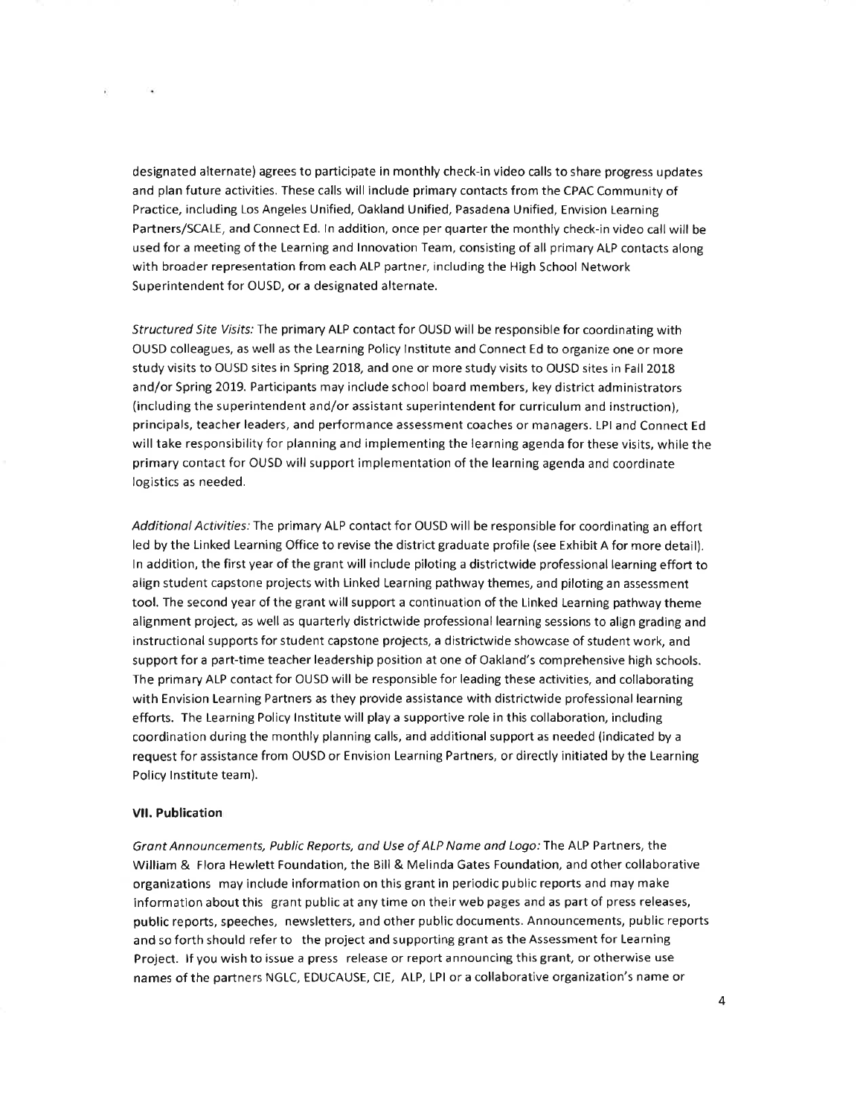designated alternate) agrees to participate in monthly check-in video calls to share progress updates and plan future activities. These calls will include primary contacts from the CPAC Community of Practice, including Los Angeles Unified, Oakland Unified, Pasadena Unified, Envision Learning Partners/SCALE, and Connect Ed. In addition, once per quarter the monthly check-in video call will be used for a meeting of the Learning and Innovation Team, consisting of all primary ALP contacts along with broader representation from each ALP partner, including the High School Network Superintendent for OUSD, or a designated alternate.

Structured Site Visits: The primary ALP contact for OUSD will be responsible for coordinating with OUSD colleagues, as well as the Learning Policy Institute and Connect Ed to organize one or more study visits to OUSD sites in Spring 2018, and one or more study visits to OUSD sites in Fall 2018 and/or Spring 2019. Participants may include school board members, key district administrators (including the superintendent and/or assistant superintendent for curriculum and instruction), principals, teacher leaders, and performance assessment coaches or managers. LPI and Connect Ed will take responsibility for planning and implementing the learning agenda for these visits, while the primary contact for OUSD will support implementation of the learning agenda and coordinate logistics as needed.

Additional Activities: The primary ALP contact for OUSD will be responsible for coordinating an effort led by the Linked Learning Office to revise the district graduate profile (see Exhibit A for more detail). In addition, the first year of the grant will include piloting a districtwide professional learning effort to align student capstone projects with Linked Learning pathway themes, and piloting an assessment tool. The second year of the grant will support a continuation of the Linked Learning pathway theme alignment project, as well as quarterly districtwide professional learning sessions to align grading and instructional supports for student capstone projects, a districtwide showcase of student work, and support for a part-time teacher leadership position at one of Oakland's comprehensive high schools. The primary ALP contact for OUSD will be responsible for leading these activities, and collaborating with Envision Learning Partners as they provide assistance with districtwide professional learning efforts. The Learning Policy Institute will play a supportive role in this collaboration, including coordination during the monthly planning calls, and additional support as needed (indicated by a request for assistance from OUSD or Envision Learning Partners, or directly initiated by the Learning Policy Institute team).

#### **VII. Publication**

 $\sim$ 

W.

Grant Announcements, Public Reports, and Use of ALP Name and Logo: The ALP Partners, the William & Flora Hewlett Foundation, the Bill & Melinda Gates Foundation, and other collaborative organizations may include information on this grant in periodic public reports and may make information about this grant public at any time on their web pages and as part of press releases, public reports, speeches, newsletters, and other public documents. Announcements, public reports and so forth should refer to the project and supporting grant as the Assessment for Learning Project. If you wish to issue a press release or report announcing this grant, or otherwise use names of the partners NGLC, EDUCAUSE, CIE, ALP, LPI or a collaborative organization's name or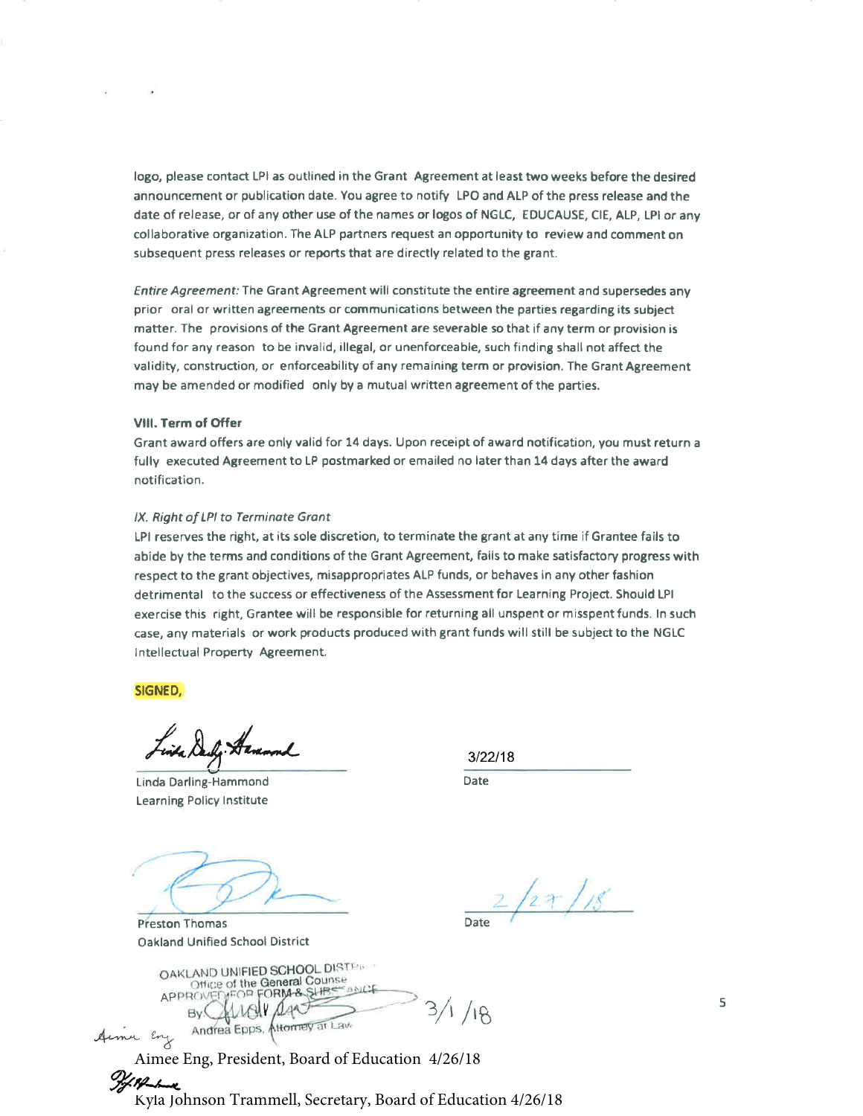logo, please contact LPI as outlined in the Grant Agreement at least two weeks before the desired announcement or publication date. You agree to notify LPO and ALP of the press release and the date of release, or of any other use of the names or logos of NGLC, EDUCAUSE, CIE, ALP, LPI or any collaborative organization. The ALP partners request an opportunity to review and comment on subsequent press releases or reports that are directly related to the grant.

Entire Agreement: The Grant Agreement will constitute the entire agreement and supersedes any prior oral or written agreements or communications between the parties regarding its subject matter. The provisions of the Grant Agreement are severable so that if any term or provision is found for any reason to be invalid, illegal, or unenforceable, such finding shall not affect the validity, construction, or enforceability of any remaining term or provision. The Grant Agreement may be amended or modified only by a mutual written agreement of the parties.

## VIII. Term of Offer

Grant award offers are only valid for 14 days. Upon receipt of award notification, you must return a fully executed Agreement to LP postmarked or emailed no later than 14 days after the award notification.

## IX. Right of LPI to Terminate Grant

LPI reserves the right, at its sole discretion, to terminate the grant at any time if Grantee fails to abide by the terms and conditions of the Grant Agreement, fails to make satisfactory progress with respect to the grant objectives, misappropriates ALP funds, or behaves in any other fashion detrimental to the success or effectiveness of the Assessment for Learning Project. Should LPI exercise this right, Grantee will be responsible for returning all unspent or misspent funds. In such case, any materials or work products produced with grant funds will still be subject to the NGLC Intellectual Property Agreement.

SIGNED,

Linda Darling-Hammond **Learning Policy Institute** 

**Preston Thomas Oakland Unified School District** 

 $3/22/18$ Date

 $2/27/18$ 

OAKLAND UNIFIED SCHOOL DISTER Office of the General Counse  $e$  and  $C$ **MEOP FORM & SLIBS APPROVE**  $3/1/18$ By ( Attorney at Law Andrea Epps.

Aimee Eng, President, Board of Education 4/26/18

Kyla Johnson Trammell, Secretary, Board of Education 4/26/18

5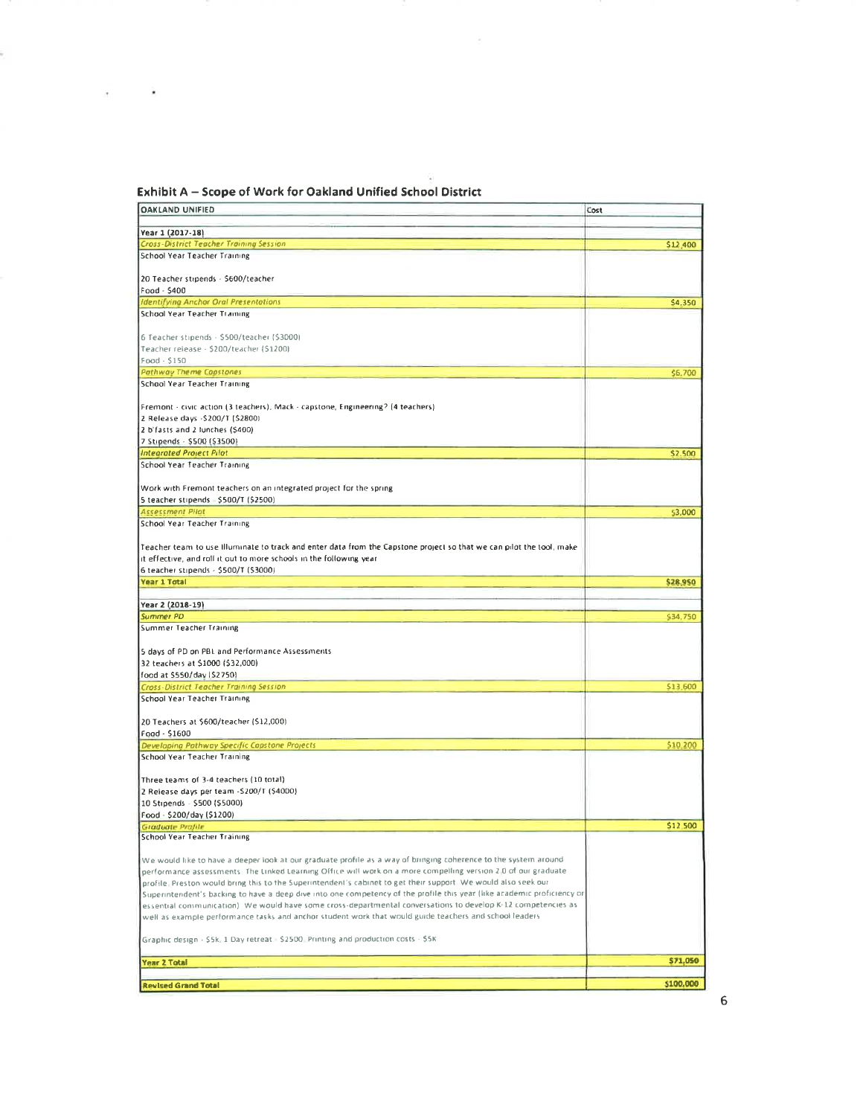# Exhibit A - Scope of Work for Oakland Unified School District

| <b>OAKLAND UNIFIED</b>                                                                                                  | Cost      |
|-------------------------------------------------------------------------------------------------------------------------|-----------|
|                                                                                                                         |           |
| Year 1 (2017-18)                                                                                                        |           |
| Cross-District Teacher Training Session                                                                                 | \$12,400  |
| School Year Teacher Training                                                                                            |           |
|                                                                                                                         |           |
| 20 Teacher stipends - \$600/teacher                                                                                     |           |
| Food - \$400                                                                                                            |           |
| <b>Identifying Anchor Oral Presentations</b>                                                                            | \$4,350   |
| School Year Teacher Training                                                                                            |           |
| 6 Teacher stipends - \$500/teacher (\$3000)                                                                             |           |
| Teacher release - \$200/teacher (\$1200)                                                                                |           |
| Food · \$150                                                                                                            |           |
| <b>Pathway Theme Capstones</b>                                                                                          | \$6,700   |
| School Year Teacher Training                                                                                            |           |
|                                                                                                                         |           |
| Fremont - civic action (3 teachers), Mack - capstone, Engineering? (4 teachers)                                         |           |
| 2 Release days - \$200/T (\$2800)                                                                                       |           |
| 2 b'fasts and 2 lunches (\$400)                                                                                         |           |
| 7 Stipends - \$500 (\$3500)                                                                                             |           |
| Integrated Project Pilot                                                                                                | \$2.500   |
| School Year Teacher Training                                                                                            |           |
|                                                                                                                         |           |
| Work with Fremont teachers on an integrated project for the spring                                                      |           |
|                                                                                                                         |           |
| <b>Assessment Pilot</b>                                                                                                 | 53,000    |
| School Year Teacher Training                                                                                            |           |
| Teacher team to use Illuminate to track and enter data from the Capstone project so that we can pilot the tool, make    |           |
| it effective, and roll it out to more schools in the following year                                                     |           |
| 6 teacher stipends - \$500/T (\$3000)                                                                                   |           |
| <b>Year 1 Total</b>                                                                                                     | \$28,950  |
|                                                                                                                         |           |
| Year 2 (2018-19)                                                                                                        |           |
| <b>Summer PD</b>                                                                                                        | \$34,750  |
| Summer Teacher Training                                                                                                 |           |
|                                                                                                                         |           |
| 5 days of PD on PBL and Performance Assessments                                                                         |           |
| 32 teachers at \$1000 (\$32,000)                                                                                        |           |
| food at \$550/day (\$2750)                                                                                              |           |
| Cross-District Teacher Training Session                                                                                 | \$13,600  |
| School Year Teacher Training                                                                                            |           |
|                                                                                                                         |           |
| 20 Teachers at \$600/teacher (\$12,000)                                                                                 |           |
| Food - \$1600                                                                                                           |           |
| Developing Pathway Specific Capstone Projects                                                                           | \$10,200  |
| School Year Teacher Training                                                                                            |           |
| Three teams of 3-4 teachers (10 total)                                                                                  |           |
| 2 Release days per team - \$200/T (\$4000)                                                                              |           |
| 10 Stipends - \$500 (\$5000)                                                                                            |           |
| Food - \$200/day (\$1200)                                                                                               |           |
| Graduate Profile                                                                                                        | \$12,500  |
| School Year Teacher Training                                                                                            |           |
|                                                                                                                         |           |
| We would like to have a deeper look at our graduate profile as a way of bringing coherence to the system around         |           |
| performance assessments. The Linked Learning Office will work on a more compelling version 2.0 of our graduate          |           |
| profile. Preston would bring this to the Superintendent's cabinet to get their support. We would also seek our          |           |
| Superintendent's backing to have a deep dive into one competency of the profile this year (like academic proficiency or |           |
| essential communication). We would have some cross-departmental conversations to develop K-12 competencies as           |           |
| well as example performance tasks and anchor student work that would guide teachers and school leaders                  |           |
|                                                                                                                         |           |
| Graphic design - \$5k. 1 Day retreat - \$2500. Printing and production costs - \$5K                                     |           |
| <b>Year 2 Total</b>                                                                                                     | \$71,050  |
|                                                                                                                         |           |
| <b>Revised Grand Total</b>                                                                                              | \$100,000 |